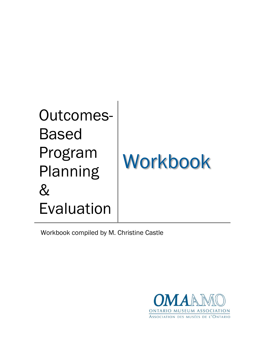## Outcomes-Based Program Planning  $\&$ Evaluation

# Workbook

Workbook compiled by M. Christine Castle

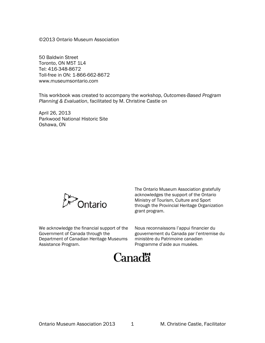©2013 Ontario Museum Association

50 Baldwin Street Toronto, ON M5T 1L4 Tel: 416-348-8672 Toll-free in ON: 1-866-662-8672 www.museumsontario.com

This workbook was created to accompany the workshop, *Outcomes-Based Program Planning & Evaluation*, facilitated by M. Christine Castle on

April 26, 2013 Parkwood National Historic Site Oshawa, ON



We acknowledge the financial support of the Government of Canada through the Department of Canadian Heritage Museums Assistance Program.

The Ontario Museum Association gratefully acknowledges the support of the Ontario Ministry of Tourism, Culture and Sport through the Provincial Heritage Organization grant program.

Nous reconnaissons l'appui financier du gouvernement du Canada par l'entremise du ministère du Patrimoine canadien Programme d'aide aux musées.

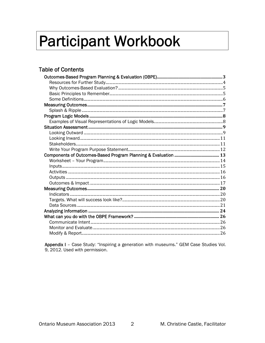## **Participant Workbook**

## **Table of Contents**

Appendix I - Case Study: "Inspiring a generation with museums." GEM Case Studies Vol. 9, 2012. Used with permission.

 $2<sup>1</sup>$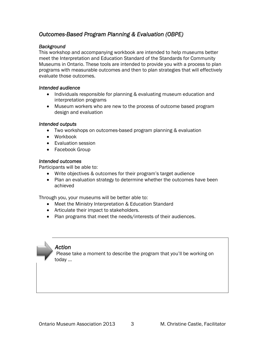## *Outcomes-Based Program Planning & Evaluation (OBPE)*

## *Background*

This workshop and accompanying workbook are intended to help museums better meet the Interpretation and Education Standard of the Standards for Community Museums in Ontario. These tools are intended to provide you with a process to plan programs with measurable outcomes and then to plan strategies that will effectively evaluate those outcomes.

## *Intended audience*

- Individuals responsible for planning & evaluating museum education and interpretation programs
- Museum workers who are new to the process of outcome based program design and evaluation

#### *Intended outputs*

- Two workshops on outcomes-based program planning & evaluation
- Workbook
- Evaluation session
- Facebook Group

#### *Intended outcomes*

Participants will be able to:

- Write objectives & outcomes for their program's target audience
- Plan an evaluation strategy to determine whether the outcomes have been achieved

Through you, your museums will be better able to:

- Meet the Ministry Interpretation & Education Standard
- Articulate their impact to stakeholders.
- Plan programs that meet the needs/interests of their audiences.

## *Action*

Please take a moment to describe the program that you'll be working on today …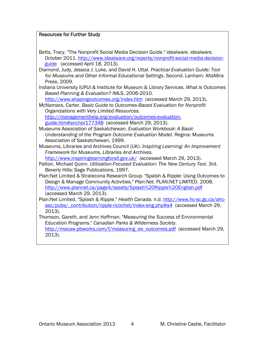## Resources for Further Study

- Betts, Tracy. "The Nonprofit Social Media Decision Guide." idealware. idealware. October 2011. http://www.idealware.org/reports/nonprofit-social-media-decisionguide (accessed April 18, 2013).
- Diamond, Judy, Jessica J. Luke, and David H. Uttal. *Practical Evaluation Guide: Tool for Museums and Other Informal Educational Settings.* Second. Lanham: AltaMira Press, 2009.
- Indiana University IUPUI & Institute for Museum & Library Services. *What is Outcomes Based Planning & Evaluation?* IMLS. 2006-2010.

http://www.shapingoutcomes.org/index.htm (accessed March 29, 2013). McNamara, Carter. *Basic Guide to Outcomes-Based Evaluation for Nonprofit* 

*Organizations with Very Limited Resources.* http://managementhelp.org/evaluation/outcomes-evaluationguide.htm#anchor177348 (accessed March 29, 2013).

Museums Association of Saskatchewan. *Evaluation Workbook: A Basic Understanding of the Program Outcome Evaluation Model.* Regina: Museums Association of Saskatchewan, 1999.

Museums, Libraries and Archives Council (UK). *Inspiring Learning: An Improvement Framework for Museums, Libraries And Archives.*

http://www.inspiringlearningforall.gov.uk/ (accessed March 29, 2013).

- Patton, Michael Quinn. *Utilization-Focused Evaluation: The New Century Text.* 3rd. Beverly Hills: Sage Publications, 1997.
- Plan:Net Limited & Stratecona Research Group. "Spalsh & Ripple: Using Outcomes to Design & Manage Community Activities." *Plan:Net.* PLAN:NET LIMITED. 2008. http://www.plannet.ca/page4/assets/Splash%20Ripple%20English.pdf (accessed March 29, 2013).
- Plan:Net Limited. "Splash & Ripple." *Health Canada.* n.d. http://www.hc-sc.gc.ca/ahcasc/pubs/\_contribution/ripple-ricochet/index-eng.php#a4 (accessed March 29, 2013).

Thomson, Gareth, and Jenn Hoffman. "Measuring the Success of Environmental Education Programs." *Canadian Parks & Wilderness Society.* http://macaw.pbworks.com/f/measuring\_ee\_outcomes.pdf (accessed March 29, 2013).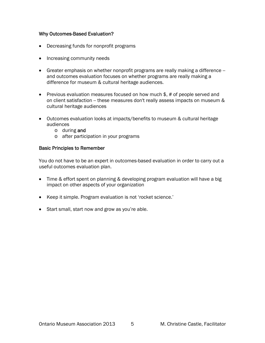## Why Outcomes-Based Evaluation?

- Decreasing funds for nonprofit programs
- Increasing community needs
- Greater emphasis on whether nonprofit programs are really making a difference and outcomes evaluation focuses on whether programs are really making a difference for museum & cultural heritage audiences.
- Previous evaluation measures focused on how much \$, # of people served and on client satisfaction -- these measures don't really assess impacts on museum & cultural heritage audiences
- Outcomes evaluation looks at impacts/benefits to museum & cultural heritage audiences
	- o during and
	- o after participation in your programs

## Basic Principles to Remember

You do not have to be an expert in outcomes-based evaluation in order to carry out a useful outcomes evaluation plan.

- Time & effort spent on planning & developing program evaluation will have a big impact on other aspects of your organization
- Keep it simple. Program evaluation is not 'rocket science.'
- Start small, start now and grow as you're able.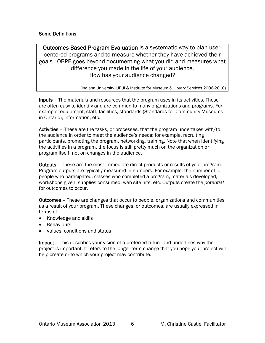## Some Definitions

Outcomes-Based Program Evaluation is a systematic way to plan usercentered programs and to measure whether they have achieved their goals. OBPE goes beyond documenting what you did and measures what difference you made in the life of your audience. How has your audience changed?

(Indiana University IUPUI & Institute for Museum & Library Services 2006-2010)

Inputs – The materials and resources that the program uses in its activities. These are often easy to identify and are common to many organizations and programs. For example: equipment, staff, facilities, standards (Standards for Community Museums in Ontario), information, etc.

Activities – These are the tasks, or processes, that the program undertakes with/to the audience in order to meet the audience's needs; for example, recruiting participants, promoting the program, networking, training. Note that when identifying the activities in a program, the focus is still pretty much on the organization or program itself, not on changes in the audience.

Outputs – These are the most immediate direct products or results of your program. Program outputs are typically measured in numbers. For example, the number of … people who participated, classes who completed a program, materials developed, workshops given, supplies consumed, web site hits, etc. Outputs create the *potential* for outcomes to occur.

Outcomes – These are changes that occur to people, organizations and communities as a result of your program. These changes, or outcomes, are usually expressed in terms of:

- Knowledge and skills
- Behaviours
- Values, conditions and status

Impact – This describes your vision of a preferred future and underlines why the project is important. It refers to the longer-term change that you hope your project will help create or to which your project may contribute.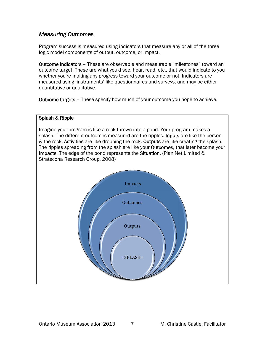## *Measuring Outcomes*

Program success is measured using indicators that measure any or all of the three logic model components of output, outcome, or impact.

Outcome indicators – These are observable and measurable "milestones" toward an outcome target. These are what you'd see, hear, read, etc., that would indicate to you whether you're making any progress toward your outcome or not. Indicators are measured using 'instruments' like questionnaires and surveys, and may be either quantitative or qualitative.

**Outcome targets** – These specify how much of your outcome you hope to achieve.

## Splash & Ripple Imagine your program is like a rock thrown into a pond. Your program makes a splash. The different outcomes measured are the ripples. Inputs are like the person & the rock. Activities are like dropping the rock. Outputs are like creating the splash. The ripples spreading from the splash are like your **Outcomes**, that later become your Impacts. The edge of the pond represents the Situation. (Plan:Net Limited & Stratecona Research Group, 2008) Impacts **Outcomes Outputs** =SPLASH=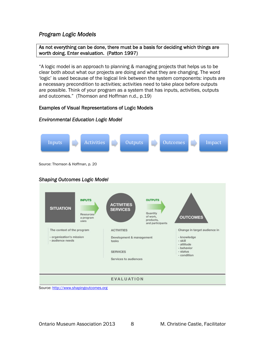## *Program Logic Models*

#### As not everything can be done, there must be a basis for deciding which things are worth doing. Enter evaluation. (Patton 1997)

"A logic model is an approach to planning & managing projects that helps us to be clear both about what our projects are doing and what they are changing. The word 'logic' is used because of the logical link between the system components: inputs are a necessary precondition to activities; activities need to take place before outputs are possible. Think of your program as a system that has inputs, activities, outputs and outcomes." (Thomson and Hoffman n.d., p.19)

## Examples of Visual Representations of Logic Models

#### Inputs **ID** Activities **D** Outputs **D** Outcomes **D** Impact Source: Thomson & Hoffman, p. 20 *Shaping Outcomes Logic Model*  **INPUTS OUTPUTS ACTIVITIES SITUATION SERVICES** Quantity Resources of work. **OUTCOMES** a program products. uses and participants The context of the program **ACTIVITIES** Change in target audience in - organization's mission Development & management - knowledge - audience needs tasks - skill - attitude - behavior **SERVICES** - status - condition Services to audiences **EVALUATION**

## *Environmental Education Logic Model*

Source: http://www.shapingoutcomes.org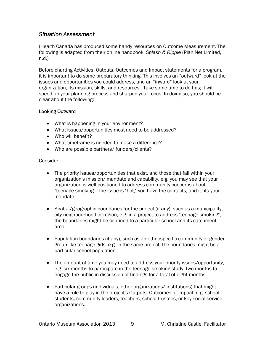## *Situation Assessment*

(Health Canada has produced some handy resources on Outcome Measurement. The following is adapted from their online handbook, *Splash & Ripple* (Plan:Net Limited, n.d.)

Before charting Activities, Outputs, Outcomes and Impact statements for a program, it is important to do some preparatory thinking. This involves an "outward" look at the issues and opportunities you could address, and an "inward" look at your organization, its mission, skills, and resources. Take some time to do this; it will speed up your planning process and sharpen your focus. In doing so, you should be clear about the following:

## Looking Outward

- What is happening in your environment?
- What issues/opportunities most need to be addressed?
- Who will benefit?
- What timeframe is needed to make a difference?
- Who are possible partners/ funders/clients?

Consider …

- The priority issues/opportunities that exist, and those that fall within your organization's mission/ mandate and capability, e.g. you may see that your organization is well positioned to address community concerns about "teenage smoking". The issue is "hot," you have the contacts, and it fits your mandate.
- **Spatial/geographic boundaries for the project (if any), such as a municipality,** city neighbourhood or region, e.g. in a project to address "teenage smoking", the boundaries might be confined to a particular school and its catchment area.
- Population boundaries (if any), such as an ethnospecific community or gender group like teenage girls, e.g. in the same project, the boundaries might be a particular school population.
- The amount of time you may need to address your priority issues/opportunity, e.g. six months to participate in the teenage smoking study, two months to engage the public in discussion of findings for a total of eight months.
- Particular groups (individuals, other organizations/ institutions) that might have a role to play in the project's Outputs, Outcomes or Impact, e.g. school students, community leaders, teachers, school trustees, or key social service organizations.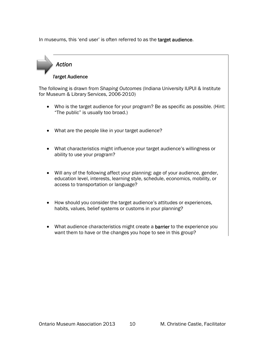In museums, this 'end user' is often referred to as the target audience.



The following is drawn from *Shaping Outcomes* (Indiana University IUPUI & Institute for Museum & Library Services, 2006-2010)

- Who is the target audience for your program? Be as specific as possible. (Hint: "The public" is usually too broad.)
- What are the people like in your target audience?
- What characteristics might influence your target audience's willingness or ability to use your program?
- Will any of the following affect your planning: age of your audience, gender, education level, interests, learning style, schedule, economics, mobility, or access to transportation or language?
- How should you consider the target audience's attitudes or experiences, habits, values, belief systems or customs in your planning?
- What audience characteristics might create a **barrier** to the experience you want them to have or the changes you hope to see in this group?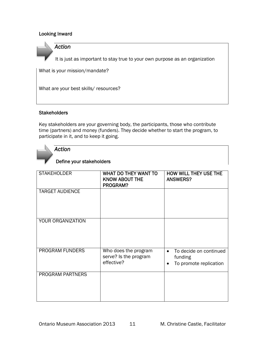## Looking Inward



It is just as important to stay true to your own purpose as an organization

What is your mission/mandate?

What are your best skills/ resources?

## **Stakeholders**

Key stakeholders are your governing body, the participants, those who contribute time (partners) and money (funders). They decide whether to start the program, to participate in it, and to keep it going.



## *Action*

## Define your stakeholders

| <b>STAKEHOLDER</b>     | WHAT DO THEY WANT TO<br><b>KNOW ABOUT THE</b><br>PROGRAM?   | <b>HOW WILL THEY USE THE</b><br><b>ANSWERS?</b>                          |
|------------------------|-------------------------------------------------------------|--------------------------------------------------------------------------|
| <b>TARGET AUDIENCE</b> |                                                             |                                                                          |
| YOUR ORGANIZATION      |                                                             |                                                                          |
| PROGRAM FUNDERS        | Who does the program<br>serve? Is the program<br>effective? | To decide on continued<br>$\bullet$<br>funding<br>To promote replication |
| PROGRAM PARTNERS       |                                                             |                                                                          |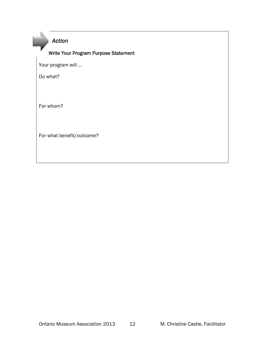*Action* 

## Write Your Program Purpose Statement

Your program will …

Do what?

For whom?

For what benefit/outcome?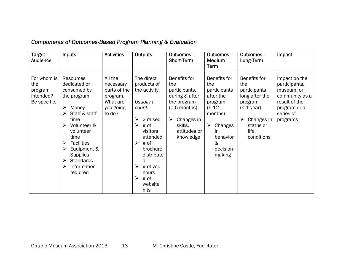| <b>Target</b><br><b>Audience</b>                           | Inputs                                                                                                                                                                                                                                                       | <b>Activities</b>                                                                   | <b>Outputs</b>                                                                                                                                                                                                          | Outcomes -<br>Short-Term                                                                                                                           | Outcomes -<br>Medium                                                                                                                                            | Outcomes -<br>Long-Term                                                                                                               | Impact                                                                                                                   |
|------------------------------------------------------------|--------------------------------------------------------------------------------------------------------------------------------------------------------------------------------------------------------------------------------------------------------------|-------------------------------------------------------------------------------------|-------------------------------------------------------------------------------------------------------------------------------------------------------------------------------------------------------------------------|----------------------------------------------------------------------------------------------------------------------------------------------------|-----------------------------------------------------------------------------------------------------------------------------------------------------------------|---------------------------------------------------------------------------------------------------------------------------------------|--------------------------------------------------------------------------------------------------------------------------|
| For whom is<br>the<br>program<br>intended?<br>Be specific. | Resources<br>dedicated or<br>consumed by<br>the program<br>Money<br>⋗<br>Staff & staff<br>time<br>Volunteer &<br>volunteer<br>time<br><b>Facilities</b><br>➤<br>Equipment &<br>⋗<br><b>Supplies</b><br><b>Standards</b><br>⋗<br>Information<br>➤<br>required | All the<br>necessary<br>parts of the<br>program.<br>What are<br>you going<br>to do? | The direct<br>products of<br>the activity.<br>Usually a<br>count.<br>\$ raised<br>➤<br># of<br>≻<br>visitors<br>attended<br># of<br>➤<br>brochure<br>distribute<br>d<br># of vol.<br>➤<br>hours<br># of<br>➤<br>website | Benefits for<br>the<br>participants,<br>during & after<br>the program<br>$(0-6$ months)<br>Changes in<br>➤<br>skills,<br>attitudes or<br>knowledge | Term<br><b>Benefits for</b><br>the<br>participants<br>after the<br>program<br>$(6-12)$<br>months)<br>Changes<br>➤<br>in<br>behavior<br>&<br>decision-<br>making | Benefits for<br>the<br>participants<br>long after the<br>program<br>$($ 1 year)<br>Changes in<br>➤<br>status or<br>life<br>conditions | Impact on the<br>participants,<br>museum, or<br>community as a<br>result of the<br>program or a<br>series of<br>programs |
|                                                            |                                                                                                                                                                                                                                                              |                                                                                     | hits                                                                                                                                                                                                                    |                                                                                                                                                    |                                                                                                                                                                 |                                                                                                                                       |                                                                                                                          |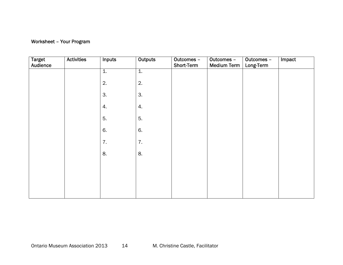## Worksheet – Your Program

| <b>Target</b><br>Audience | <b>Activities</b> | <b>Inputs</b>    | <b>Outputs</b>   | Outcomes -<br>Short-Term | Outcomes -<br><b>Medium Term</b> | Outcomes -<br>Long-Term | Impact |
|---------------------------|-------------------|------------------|------------------|--------------------------|----------------------------------|-------------------------|--------|
|                           |                   | $\overline{1}$ . | $\overline{1}$ . |                          |                                  |                         |        |
|                           |                   | 2.               | 2.               |                          |                                  |                         |        |
|                           |                   | 3.               | 3.               |                          |                                  |                         |        |
|                           |                   | 4.               | 4.               |                          |                                  |                         |        |
|                           |                   | 5.               | 5.               |                          |                                  |                         |        |
|                           |                   | 6.               | 6.               |                          |                                  |                         |        |
|                           |                   | 7.               | 7.               |                          |                                  |                         |        |
|                           |                   | 8.               | 8.               |                          |                                  |                         |        |
|                           |                   |                  |                  |                          |                                  |                         |        |
|                           |                   |                  |                  |                          |                                  |                         |        |
|                           |                   |                  |                  |                          |                                  |                         |        |
|                           |                   |                  |                  |                          |                                  |                         |        |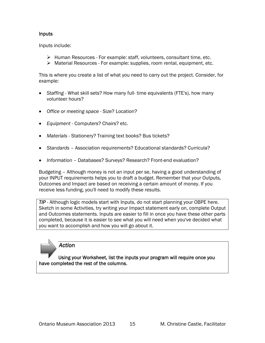## Inputs

Inputs include:

- $\triangleright$  Human Resources For example: staff, volunteers, consultant time, etc.
- $\triangleright$  Material Resources For example: supplies, room rental, equipment, etc.

This is where you create a list of what you need to carry out the project. Consider, for example:

- *Staffing*  What skill sets? How many full- time equivalents (FTE's), how many volunteer hours?
- *Office or meeting space* Size? Location?
- *Equipment* Computers? Chairs? etc.
- *Materials*  Stationery? Training text books? Bus tickets?
- *Standards* Association requirements? Educational standards? Curricula?
- *Information* Databases? Surveys? Research? Front-end evaluation?

Budgeting – Although money is not an input per se, having a good understanding of your INPUT requirements helps you to draft a budget. Remember that your Outputs, Outcomes and Impact are based on receiving a certain amount of money. If you receive less funding, you'll need to modify these results.

*TIP* - Although logic models start with Inputs, do not start planning your OBPE here. Sketch in some Activities, try writing your Impact statement early on, complete Output and Outcomes statements. Inputs are easier to fill in once you have these other parts completed, because it is easier to see what you will need when you've decided what you want to accomplish and how you will go about it.

*Action* 

Using your Worksheet, list the inputs your program will require once you have completed the rest of the columns.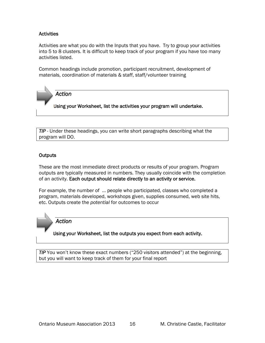## **Activities**

Activities are what you do with the Inputs that you have. Try to group your activities into 5 to 8 clusters. It is difficult to keep track of your program if you have too many activities listed.

Common headings include promotion, participant recruitment, development of materials, coordination of materials & staff, staff/volunteer training

*Action* 

Using your Worksheet, list the activities your program will undertake.

*TIP* - Under these headings, you can write short paragraphs describing what the program will DO.

## **Outputs**

These are the most immediate direct products or results of your program. Program outputs are typically measured in numbers. They usually coincide with the completion of an activity. Each output should relate directly to an activity or service.

For example, the number of … people who participated, classes who completed a program, materials developed, workshops given, supplies consumed, web site hits, etc. Outputs create the *potential* for outcomes to occur

*Action* 

Using your Worksheet, list the outputs you expect from each activity.

*TIP* You won't know these exact numbers ("250 visitors attended") at the beginning, but you will want to keep track of them for your final report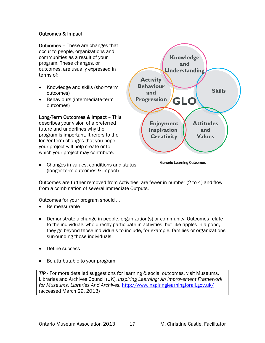## Outcomes & Impact

Outcomes – These are changes that occur to people, organizations and communities as a result of your program. These changes, or outcomes, are usually expressed in terms of:

- Knowledge and skills (short-term outcomes)
- Behaviours (intermediate-term outcomes)

Long-Term Outcomes & Impact – This describes your vision of a preferred future and underlines why the program is important. It refers to the longer-term changes that you hope your project will help create or to which your project may contribute.

 Changes in values, conditions and status (longer-term outcomes & impact)



Generic Learning Outcomes

Outcomes are further removed from Activities, are fewer in number (2 to 4) and flow from a combination of several immediate Outputs.

Outcomes for your program should …

- Be measurable
- Demonstrate a change in people, organization(s) or community. Outcomes relate to the individuals who directly participate in activities, but like ripples in a pond, they go beyond those individuals to include, for example, families or organizations surrounding those individuals.
- Define success
- Be attributable to your program

*TIP* - For more detailed suggestions for learning & social outcomes, visit Museums, Libraries and Archives Council (UK). *Inspiring Learning: An Improvement Framework for Museums, Libraries And Archives.* http://www.inspiringlearningforall.gov.uk/ (accessed March 29, 2013)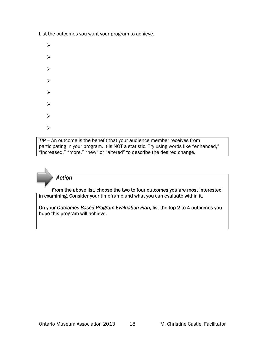List the outcomes you want your program to achieve.

- $\blacktriangleright$
- $\blacktriangleright$
- 
- $\blacktriangleright$
- $\blacktriangleright$
- ↘
- $\blacktriangleright$
- 
- ➤
- $\blacktriangleright$

*TIP* – An outcome is the benefit that your audience member receives from participating in your program. It is NOT a statistic. Try using words like "enhanced," "increased," "more," "new" or "altered" to describe the desired change.

*Action* 

From the above list, choose the two to four outcomes you are most interested in examining. Consider your timeframe and what you can evaluate within it.

On your *Outcomes-Based Program Evaluation Plan*, list the top 2 to 4 outcomes you hope this program will achieve.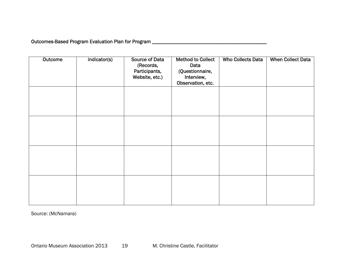Outcomes-Based Program Evaluation Plan for Program \_\_\_\_\_\_\_\_\_\_\_\_\_\_\_\_\_\_\_\_\_\_\_\_\_\_\_\_\_

| Outcome | Indicator(s) | <b>Source of Data</b><br>(Records,<br>Participants,<br>Website, etc.) | <b>Method to Collect</b><br>Data<br>(Questionnaire,<br>Interview,<br>Observation, etc. | <b>Who Collects Data</b> | <b>When Collect Data</b> |
|---------|--------------|-----------------------------------------------------------------------|----------------------------------------------------------------------------------------|--------------------------|--------------------------|
|         |              |                                                                       |                                                                                        |                          |                          |
|         |              |                                                                       |                                                                                        |                          |                          |
|         |              |                                                                       |                                                                                        |                          |                          |
|         |              |                                                                       |                                                                                        |                          |                          |

Source: (McNamara)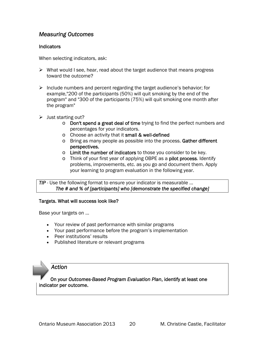## *Measuring Outcomes*

## **Indicators**

When selecting indicators, ask:

- $\triangleright$  What would I see, hear, read about the target audience that means progress toward the outcome?
- $\triangleright$  Include numbers and percent regarding the target audience's behavior; for example,"200 of the participants (50%) will quit smoking by the end of the program" and "300 of the participants (75%) will quit smoking one month after the program"
- $\triangleright$  Just starting out?
	- $\circ$  Don't spend a great deal of time trying to find the perfect numbers and percentages for your indicators.
	- o Choose an activity that it small & well-defined
	- o Bring as many people as possible into the process. Gather different perspectives.
	- o Limit the number of indicators to those you consider to be key.
	- o Think of your first year of applying OBPE as a pilot process. Identify problems, improvements, etc. as you go and document them. Apply your learning to program evaluation in the following year.

#### *TIP* - Use the following format to ensure your indicator is measurable ... *The # and % of [participants] who [demonstrate the specified change]*

#### Targets. What will success look like?

Base your targets on …

- Your review of past performance with similar programs
- Your past performance before the program's implementation
- Peer institutions' results
- Published literature or relevant programs

*Action* 

On your *Outcomes-Based Program Evaluation Plan*, identify at least one indicator per outcome.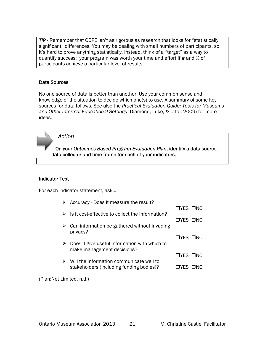*TIP* - Remember that OBPE isn't as rigorous as research that looks for "statistically significant" differences. You may be dealing with small numbers of participants, so it's hard to prove anything statistically. Instead, think of a "target" as a way to quantify success: your program was worth your time and effort if # and % of participants achieve a particular level of results.

## Data Sources

No one source of data is better than another. Use your common sense and knowledge of the situation to decide which one(s) to use. A summary of some key sources for data follows. See also the *Practical Evaluation Guide: Tools for Museums and Other Informal Educational Settings* (Diamond, Luke, & Uttal, 2009) for more ideas.



*Action* 

On your *Outcomes-Based Program Evaluation Plan*, identify a data source, data collector and time frame for each of your indicators.

## Indicator Test

For each indicator statement, ask...

| ➤ | Accuracy - Does it measure the result?                                                                |                      |  |
|---|-------------------------------------------------------------------------------------------------------|----------------------|--|
|   |                                                                                                       | $\neg$ YES $\neg$ NO |  |
|   | Is it cost-effective to collect the information?                                                      |                      |  |
|   | $\triangleright$ Can information be gathered without invading                                         | $\n  TYES\n  TNO\n$  |  |
|   | privacy?                                                                                              | $\neg$ YES $\neg$ NO |  |
|   | $\triangleright$ Does it give useful information with which to<br>make management decisions?          |                      |  |
|   |                                                                                                       | OYES ONO             |  |
|   | $\triangleright$ Will the information communicate well to<br>stakeholders (including funding bodies)? | TYES TINO            |  |
|   |                                                                                                       |                      |  |

(Plan:Net Limited, n.d.)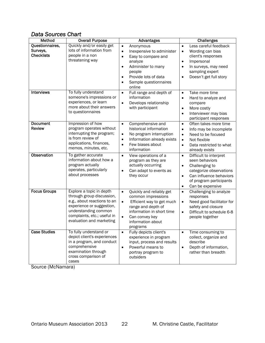## *Data Sources Chart*

| Method                                           | <b>Overall Purpose</b>                                                                                                                                                                               | Advantages                                                                                                                                                                                                                           | <b>Challenges</b>                                                                                                                                                                                                   |
|--------------------------------------------------|------------------------------------------------------------------------------------------------------------------------------------------------------------------------------------------------------|--------------------------------------------------------------------------------------------------------------------------------------------------------------------------------------------------------------------------------------|---------------------------------------------------------------------------------------------------------------------------------------------------------------------------------------------------------------------|
| Questionnaires,<br>Surveys,<br><b>Checklists</b> | Quickly and/or easily get<br>lots of information from<br>people in a non<br>threatening way                                                                                                          | Anonymous<br>$\bullet$<br>Inexpensive to administer<br>$\bullet$<br>Easy to compare and<br>$\bullet$<br>analyze<br>Administer to many<br>$\bullet$<br>people<br>Provide lots of data<br>$\bullet$<br>Sample questionnaires<br>online | Less careful feedback<br>$\bullet$<br>Wording can bias<br>$\bullet$<br>client's responses<br>Impersonal<br>$\bullet$<br>In surveys, may need<br>$\bullet$<br>sampling expert<br>Doesn't get full story<br>$\bullet$ |
| Interviews                                       | To fully understand<br>someone's impressions or<br>experiences, or learn<br>more about their answers<br>to questionnaires                                                                            | Full range and depth of<br>$\bullet$<br>information<br>Develops relationship<br>$\bullet$<br>with participant                                                                                                                        | Take more time<br>$\bullet$<br>Hard to analyze and<br>$\bullet$<br>compare<br>More costly<br>$\bullet$<br>Interviewer may bias<br>$\bullet$<br>participant responses                                                |
| <b>Document</b><br><b>Review</b>                 | Impression of how<br>program operates without<br>interrupting the program;<br>is from review of<br>applications, finances,<br>memos, minutes, etc.                                                   | Comprehensive and<br>$\bullet$<br>historical information<br>No program interruption<br>$\bullet$<br>Information already exists<br>$\bullet$<br>Few biases about<br>$\bullet$<br>information                                          | Often takes more time<br>$\bullet$<br>Info may be incomplete<br>$\bullet$<br>Need to be focused<br>$\bullet$<br>Not flexible<br>$\bullet$<br>Data restricted to what<br>$\bullet$<br>already exists                 |
| Observation                                      | To gather accurate<br>information about how a<br>program actually<br>operates, particularly<br>about processes                                                                                       | View operations of a<br>$\bullet$<br>program as they are<br>actually occurring<br>Can adapt to events as<br>$\bullet$<br>they occur                                                                                                  | Difficult to interpret<br>$\bullet$<br>seen behaviors<br>Challenging to<br>$\bullet$<br>categorize observations<br>Can influence behaviors<br>$\bullet$<br>of program participants<br>Can be expensive<br>$\bullet$ |
| <b>Focus Groups</b>                              | Explore a topic in depth<br>through group discussion,<br>e.g., about reactions to an<br>experience or suggestion,<br>understanding common<br>complaints, etc.; useful in<br>evaluation and marketing | Quickly and reliably get<br>$\bullet$<br>common impressions<br>Efficient way to get much<br>$\bullet$<br>range and depth of<br>information in short time<br>Can convey key<br>$\bullet$<br>information about<br>programs             | Challenging to analyze<br>$\bullet$<br>responses<br>Need good facilitator for<br>$\bullet$<br>safety and closure<br>Difficult to schedule 6-8<br>$\bullet$<br>people together                                       |
| <b>Case Studies</b>                              | To fully understand or<br>depict client's experiences<br>in a program, and conduct<br>comprehensive<br>examination through<br>cross comparison of<br>cases                                           | Fully depicts client's<br>experience in program<br>input, process and results<br>Powerful means to<br>$\bullet$<br>portray program to<br>outsiders                                                                                   | Time consuming to<br>collect, organize and<br>describe<br>Depth of information,<br>$\bullet$<br>rather than breadth                                                                                                 |

Source (McNamara)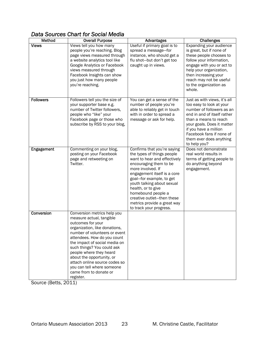## *Data Sources Chart for Social Media*

| <b>Method</b>    | <b>Overall Purpose</b>                                                                                                                                                                                                                                                                                                                                                                                     | <b>Advantages</b>                                                                                                                                                                                                                                                                                                                                                     | <b>Challenges</b>                                                                                                                                                                                                                                                           |
|------------------|------------------------------------------------------------------------------------------------------------------------------------------------------------------------------------------------------------------------------------------------------------------------------------------------------------------------------------------------------------------------------------------------------------|-----------------------------------------------------------------------------------------------------------------------------------------------------------------------------------------------------------------------------------------------------------------------------------------------------------------------------------------------------------------------|-----------------------------------------------------------------------------------------------------------------------------------------------------------------------------------------------------------------------------------------------------------------------------|
| <b>Views</b>     | Views tell you how many<br>people you're reaching. Blog<br>page views measured through<br>a website analytics tool like<br>Google Analytics or Facebook<br>views measured through<br>Facebook Insights can show<br>you just how many people<br>you're reaching.                                                                                                                                            | Useful if primary goal is to<br>spread a message-for<br>instance, who should get a<br>flu shot-but don't get too<br>caught up in views.                                                                                                                                                                                                                               | Expanding your audience<br>is great, but if none of<br>these people chooses to<br>follow your information,<br>engage with you or act to<br>help your organization,<br>then increasing your<br>reach may not be useful<br>to the organization as<br>whole.                   |
| <b>Followers</b> | Followers tell you the size of<br>your supporter base e.g.<br>number of Twitter followers,<br>people who "like" your<br>Facebook page or those who<br>subscribe by RSS to your blog,                                                                                                                                                                                                                       | You can get a sense of the<br>number of people you're<br>able to reliably get in touch<br>with in order to spread a<br>message or ask for help.                                                                                                                                                                                                                       | Just as with views, it's all<br>too easy to look at your<br>number of followers as an<br>end in and of itself rather<br>than a means to reach<br>your goals. Does it matter<br>if you have a million<br>Facebook fans if none of<br>them ever does anything<br>to help you? |
| Engagement       | Commenting on your blog,<br>posting on your Facebook<br>page and retweeting on<br>Twitter.                                                                                                                                                                                                                                                                                                                 | Confirms that you're saying<br>the types of things people<br>want to hear and effectively<br>encouraging them to be<br>more involved. If<br>engagement itself is a core<br>goal-for example, to get<br>youth talking about sexual<br>health, or to give<br>homebound people a<br>creative outlet-then these<br>metrics provide a great way<br>to track your progress. | Does not demonstrate<br>real world results in<br>terms of getting people to<br>do anything beyond<br>engagement.                                                                                                                                                            |
| Conversion       | Conversion metrics help you<br>measure actual, tangible<br>outcomes for your<br>organization, like donations,<br>number of volunteers or event<br>attendees. How do you count<br>the impact of social media on<br>such things? You could ask<br>people where they heard<br>about the opportunity, or<br>attach online source codes so<br>you can tell where someone<br>came from to donate or<br>register. |                                                                                                                                                                                                                                                                                                                                                                       |                                                                                                                                                                                                                                                                             |

Source (Betts, 2011)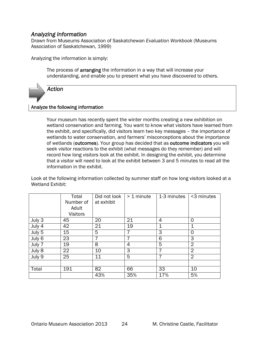## *Analyzing Information*

Drawn from Museums Association of Saskatchewan *Evaluation Workbook* (Museums Association of Saskatchewan, 1999)

Analyzing the information is simply:

The process of arranging the information in a way that will increase your understanding, and enable you to present what you have discovered to others.



## Analyze the following information

Your museum has recently spent the winter months creating a new exhibition on wetland conservation and farming. You want to know what visitors have learned from the exhibit, and specifically, did visitors learn two key messages – the importance of wetlands to water conservation, and farmers' misconceptions about the importance of wetlands (outcomes). Your group has decided that as outcome indicators you will seek visitor reactions to the exhibit (what messages do they remember) and will record how long visitors look at the exhibit. In designing the exhibit, you determine that a visitor will need to look at the exhibit between 3 and 5 minutes to read all the information in the exhibit.

Look at the following information collected by summer staff on how long visitors looked at a Wetland Exhibit:

|        | Total           | Did not look | $> 1$ minute | 1-3 minutes | <3 minutes     |
|--------|-----------------|--------------|--------------|-------------|----------------|
|        | Number of       | at exhibit   |              |             |                |
|        | Adult           |              |              |             |                |
|        | <b>Visitors</b> |              |              |             |                |
| July 3 | 45              | 20           | 21           | 4           | 0              |
| July 4 | 42              | 21           | 19           | 1           | 1              |
| July 5 | 15              | 5            |              | 3           | 0              |
| July 6 | 23              | 7            |              | 6           | 3              |
| July 7 | 19              | 8            | 4            | 5           | 2              |
| July 8 | 22              | 10           | 3            |             | $\overline{2}$ |
| July 9 | 25              | 11           | 5            | 7           | $\overline{2}$ |
|        |                 |              |              |             |                |
| Total  | 191             | 82           | 66           | 33          | 10             |
|        |                 | 43%          | 35%          | 17%         | 5%             |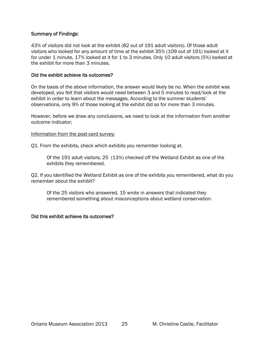#### Summary of Findings:

43% of visitors did not look at the exhibit (82 out of 191 adult visitors). Of those adult visitors who looked for any amount of time at the exhibit 35% (109 out of 191) looked at it for under 1 minute, 17% looked at it for 1 to 3 minutes. Only 10 adult visitors (5%) looked at the exhibit for more than 3 minutes.

#### Did the exhibit achieve its outcomes?

On the basis of the above information, the answer would likely be no. When the exhibit was developed, you felt that visitors would need between 3 and 5 minutes to read/look at the exhibit in order to learn about the messages. According to the summer students' observations, only 9% of those looking at the exhibit did so for more than 3 minutes.

However, before we draw any conclusions, we need to look at the information from another outcome indicator;

#### Information from the post-card survey:

Q1. From the exhibits, check which exhibits you remember looking at.

Of the 191 adult visitors, 25 (13%) checked off the Wetland Exhibit as one of the exhibits they remembered.

Q2. If you identified the Wetland Exhibit as one of the exhibits you remembered, what do you remember about the exhibit?

Of the 25 visitors who answered, 15 wrote in answers that indicated they remembered something about misconceptions about wetland conservation.

#### Did this exhibit achieve its outcomes?